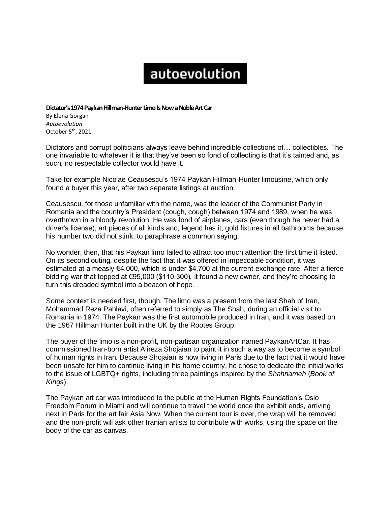## autoevolution

**Dictator's 1974 Paykan Hillman-Hunter Limo Is Now a Noble Art Car**

By Elena Gorgan *Autoevolution*  October 5<sup>th</sup>, 2021

Dictators and corrupt politicians always leave behind incredible collections of… collectibles. The one invariable to whatever it is that they've been so fond of collecting is that it's tainted and, as such, no respectable collector would have it.

Take for example Nicolae Ceausescu's 1974 Paykan Hillman-Hunter limousine, which only found a buyer this year, after two separate listings at auction.

Ceausescu, for those unfamiliar with the name, was the leader of the Communist Party in Romania and the country's President (cough, cough) between 1974 and 1989, when he was overthrown in a bloody revolution. He was fond of airplanes, cars (even though he never had a driver's license), art pieces of all kinds and, legend has it, gold fixtures in all bathrooms because his number two did not stink, to paraphrase a common saying.

No wonder, then, that his Paykan limo failed to attract too much attention the first time it listed. On its second outing, despite the fact that it was offered in impeccable condition, it was estimated at a measly €4,000, which is under \$4,700 at the current exchange rate. After a fierce bidding war that topped at €95,000 (\$110,300), it found a new owner, and they're choosing to turn this dreaded symbol into a beacon of hope.

Some context is needed first, though. The limo was a present from the last Shah of Iran, Mohammad Reza Pahlavi, often referred to simply as The Shah, during an official visit to Romania in 1974. The Paykan was the first automobile produced in Iran, and it was based on the 1967 Hillman Hunter built in the UK by the Rootes Group.

The buyer of the limo is a non-profit, non-partisan organization named PaykanArtCar. It has commissioned Iran-born artist Alireza Shojaian to paint it in such a way as to become a symbol of human rights in Iran. Because Shojaian is now living in Paris due to the fact that it would have been unsafe for him to continue living in his home country, he chose to dedicate the initial works to the issue of LGBTQ+ rights, including three paintings inspired by the *Shahnameh* (*Book of Kings*).

The Paykan art car was introduced to the public at the Human Rights Foundation's Oslo Freedom Forum in Miami and will continue to travel the world once the exhibit ends, arriving next in Paris for the art fair Asia Now. When the current tour is over, the wrap will be removed and the non-profit will ask other Iranian artists to contribute with works, using the space on the body of the car as canvas.